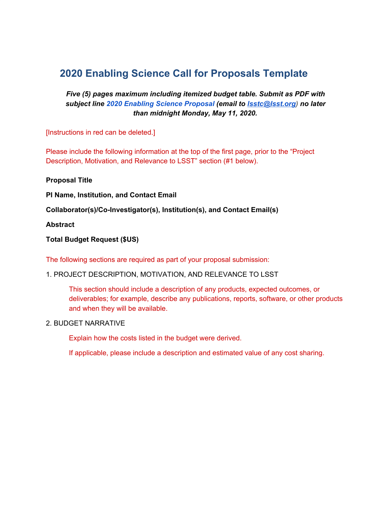# **2020 Enabling Science Call for Proposals Template**

# *Five (5) pages maximum including itemized budget table. Submit as PDF with subject line 2020 Enabling Science Proposal (email to [lsstc@lsst.org\)](mailto:lsstc@lsst.org) no later than midnight Monday, May 11, 2020.*

[Instructions in red can be deleted.]

Please include the following information at the top of the first page, prior to the "Project Description, Motivation, and Relevance to LSST" section (#1 below).

**Proposal Title**

**PI Name, Institution, and Contact Email**

**Collaborator(s)/Co-Investigator(s), Institution(s), and Contact Email(s)**

**Abstract**

#### **Total Budget Request (\$US)**

The following sections are required as part of your proposal submission:

## 1. PROJECT DESCRIPTION, MOTIVATION, AND RELEVANCE TO LSST

This section should include a description of any products, expected outcomes, or deliverables; for example, describe any publications, reports, software, or other products and when they will be available.

#### 2. BUDGET NARRATIVE

Explain how the costs listed in the budget were derived.

If applicable, please include a description and estimated value of any cost sharing.